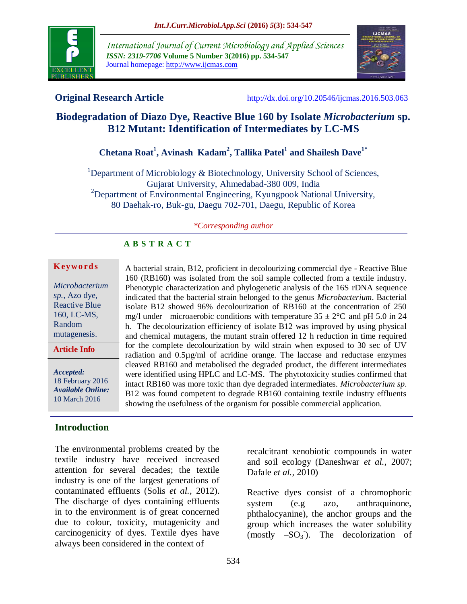

*International Journal of Current Microbiology and Applied Sciences ISSN: 2319-7706* **Volume 5 Number 3(2016) pp. 534-547** Journal homepage: http://www.ijcmas.com



**Original Research Article** <http://dx.doi.org/10.20546/ijcmas.2016.503.063>

# **Biodegradation of Diazo Dye, Reactive Blue 160 by Isolate** *Microbacterium* **sp. B12 Mutant: Identification of Intermediates by LC-MS**

# **Chetana Roat<sup>1</sup> , Avinash Kadam<sup>2</sup> , Tallika Patel<sup>1</sup> and Shailesh Dave1\***

 $1$ Department of Microbiology & Biotechnology, University School of Sciences, Gujarat University, Ahmedabad-380 009, India <sup>2</sup>Department of Environmental Engineering, Kyungpook National University, 80 Daehak-ro, Buk-gu, Daegu 702-701, Daegu, Republic of Korea

#### *\*Corresponding author*

A bacterial strain, B12, proficient in decolourizing commercial dye - Reactive Blue 160 (RB160) was isolated from the soil sample collected from a textile industry. Phenotypic characterization and phylogenetic analysis of the 16S rDNA sequence indicated that the bacterial strain belonged to the genus *Microbacterium*. Bacterial isolate B12 showed 96% decolourization of RB160 at the concentration of 250 mg/l under microaerobic conditions with temperature  $35 \pm 2^{\circ}$ C and pH 5.0 in 24 h. The decolourization efficiency of isolate B12 was improved by using physical and chemical mutagens, the mutant strain offered 12 h reduction in time required for the complete decolourization by wild strain when exposed to 30 sec of UV radiation and 0.5µg/ml of acridine orange. The laccase and reductase enzymes cleaved RB160 and metabolised the degraded product, the different intermediates were identified using HPLC and LC-MS. The phytotoxicity studies confirmed that intact RB160 was more toxic than dye degraded intermediates. *Microbacterium sp*. B12 was found competent to degrade RB160 containing textile industry effluents

showing the usefulness of the organism for possible commercial application.

#### **A B S T R A C T**

#### **K ey w o rd s**

*Microbacterium sp.,* Azo dye, Reactive Blue 160, LC-MS, Random mutagenesis.

**Article Info**

*Accepted:*  18 February 2016 *Available Online:* 10 March 2016

#### **Introduction**

The environmental problems created by the textile industry have received increased attention for several decades; the textile industry is one of the largest generations of contaminated effluents (Solis *et al.,* 2012). The discharge of dyes containing effluents in to the environment is of great concerned due to colour, toxicity, mutagenicity and carcinogenicity of dyes. Textile dyes have always been considered in the context of

recalcitrant xenobiotic compounds in water and soil ecology (Daneshwar *et al.,* 2007; Dafale *et al.,* 2010)

Reactive dyes consist of a chromophoric system (e.g azo, anthraquinone, phthalocyanine), the anchor groups and the group which increases the water solubility (mostly  $-SO_3$ ). The decolorization of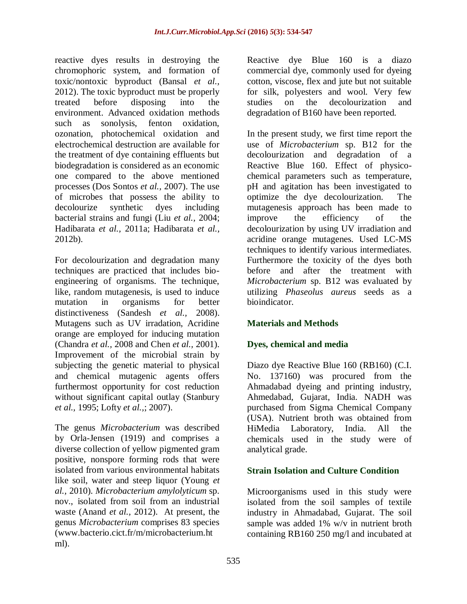reactive dyes results in destroying the chromophoric system, and formation of toxic/nontoxic byproduct (Bansal *et al.,* 2012). The toxic byproduct must be properly treated before disposing into the environment. Advanced oxidation methods such as sonolysis, fenton oxidation, ozonation, photochemical oxidation and electrochemical destruction are available for the treatment of dye containing effluents but biodegradation is considered as an economic one compared to the above mentioned processes (Dos Sontos *et al.,* 2007). The use of microbes that possess the ability to decolourize synthetic dyes including bacterial strains and fungi (Liu *et al.,* 2004; Hadibarata *et al.,* 2011a; Hadibarata *et al.,* 2012b).

For decolourization and degradation many techniques are practiced that includes bioengineering of organisms. The technique, like, random mutagenesis, is used to induce mutation in organisms for better distinctiveness (Sandesh *et al.,* 2008). Mutagens such as UV irradation, Acridine orange are employed for inducing mutation (Chandra *et al.,* 2008 and Chen *et al.,* 2001). Improvement of the microbial strain by subjecting the genetic material to physical and chemical mutagenic agents offers furthermost opportunity for cost reduction without significant capital outlay (Stanbury *et al.,* 1995; Lofty *et al.,*; 2007).

The genus *Microbacterium* was described by Orla-Jensen (1919) and comprises a diverse collection of yellow pigmented gram positive, nonspore forming rods that were isolated from various environmental habitats like soil, water and steep liquor (Young *et al.,* 2010). *Microbacterium amylolyticum* sp. nov., isolated from soil from an industrial waste (Anand *et al.,* 2012). At present, the genus *Microbacterium* comprises 83 species [\(www.bacterio.cict.fr/m/microbacterium.ht](http://www.bacterio.cict.fr/m/microbacterium.html) [ml\)](http://www.bacterio.cict.fr/m/microbacterium.html).

Reactive dye Blue 160 is a diazo commercial dye, commonly used for dyeing cotton, viscose, flex and jute but not suitable for silk, polyesters and wool. Very few studies on the decolourization and degradation of B160 have been reported.

In the present study, we first time report the use of *Microbacterium* sp. B12 for the decolourization and degradation of a Reactive Blue 160. Effect of physicochemical parameters such as temperature, pH and agitation has been investigated to optimize the dye decolourization. The mutagenesis approach has been made to improve the efficiency of the decolourization by using UV irradiation and acridine orange mutagenes. Used LC-MS techniques to identify various intermediates. Furthermore the toxicity of the dyes both before and after the treatment with *Microbacterium* sp. B12 was evaluated by utilizing *Phaseolus aureus* seeds as a bioindicator.

# **Materials and Methods**

# **Dyes, chemical and media**

Diazo dye Reactive Blue 160 (RB160) (C.I. No. 137160) was procured from the Ahmadabad dyeing and printing industry, Ahmedabad, Gujarat, India. NADH was purchased from Sigma Chemical Company (USA). Nutrient broth was obtained from HiMedia Laboratory, India. All the chemicals used in the study were of analytical grade.

# **Strain Isolation and Culture Condition**

Microorganisms used in this study were isolated from the soil samples of textile industry in Ahmadabad, Gujarat. The soil sample was added 1% w/v in nutrient broth containing RB160 250 mg/l and incubated at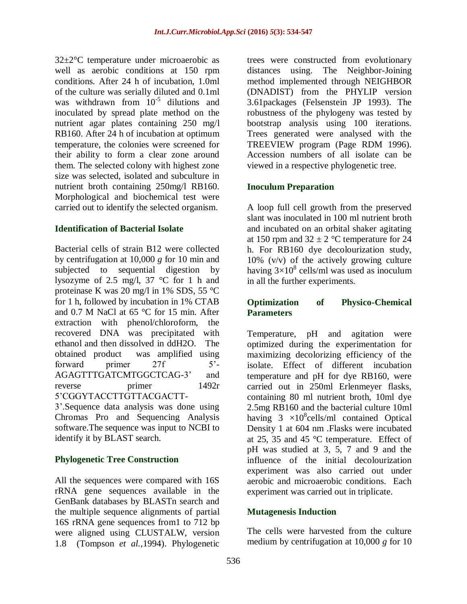32±2°C temperature under microaerobic as well as aerobic conditions at 150 rpm conditions. After 24 h of incubation, 1.0ml of the culture was serially diluted and 0.1ml was withdrawn from  $10^{-5}$  dilutions and inoculated by spread plate method on the nutrient agar plates containing 250 mg/l RB160. After 24 h of incubation at optimum temperature, the colonies were screened for their ability to form a clear zone around them. The selected colony with highest zone size was selected, isolated and subculture in nutrient broth containing 250mg/l RB160. Morphological and biochemical test were carried out to identify the selected organism.

## **Identification of Bacterial Isolate**

Bacterial cells of strain B12 were collected by centrifugation at 10,000 *g* for 10 min and subjected to sequential digestion by lysozyme of 2.5 mg/l, 37 °C for 1 h and proteinase K was 20 mg/l in 1% SDS, 55 °C for 1 h, followed by incubation in 1% CTAB and 0.7 M NaCl at 65 °C for 15 min. After extraction with phenol/chloroform, the recovered DNA was precipitated with ethanol and then dissolved in ddH2O. The obtained product was amplified using forward primer 27f 5'-AGAGTTTGATCMTGGCTCAG-3' and reverse primer 1492r 5'CGGYTACCTTGTTACGACTT-

3'.Sequence data analysis was done using Chromas Pro and Sequencing Analysis software.The sequence was input to NCBI to identify it by BLAST search.

#### **Phylogenetic Tree Construction**

All the sequences were compared with 16S rRNA gene sequences available in the GenBank databases by BLASTn search and the multiple sequence alignments of partial 16S rRNA gene sequences from1 to 712 bp were aligned using CLUSTALW, version 1.8 (Tompson *et al.,*1994). Phylogenetic

trees were constructed from evolutionary distances using. The Neighbor-Joining method implemented through NEIGHBOR (DNADIST) from the PHYLIP version 3.61packages (Felsenstein JP 1993). The robustness of the phylogeny was tested by bootstrap analysis using 100 iterations. Trees generated were analysed with the TREEVIEW program (Page RDM 1996). Accession numbers of all isolate can be viewed in a respective phylogenetic tree.

#### **Inoculum Preparation**

A loop full cell growth from the preserved slant was inoculated in 100 ml nutrient broth and incubated on an orbital shaker agitating at 150 rpm and  $32 \pm 2$  °C temperature for 24 h. For RB160 dye decolourization study, 10% (v/v) of the actively growing culture having  $3\times10^8$  cells/ml was used as inoculum in all the further experiments.

#### **Optimization of Physico-Chemical Parameters**

Temperature, pH and agitation were optimized during the experimentation for maximizing decolorizing efficiency of the isolate. Effect of different incubation temperature and pH for dye RB160, were carried out in 250ml Erlenmeyer flasks, containing 80 ml nutrient broth, 10ml dye 2.5mg RB160 and the bacterial culture 10ml having  $3 \times 10^8$ cells/ml contained Optical Density 1 at 604 nm .Flasks were incubated at 25, 35 and 45 °C temperature. Effect of pH was studied at 3, 5, 7 and 9 and the influence of the initial decolourization experiment was also carried out under aerobic and microaerobic conditions. Each experiment was carried out in triplicate.

#### **Mutagenesis Induction**

The cells were harvested from the culture medium by centrifugation at 10,000 *g* for 10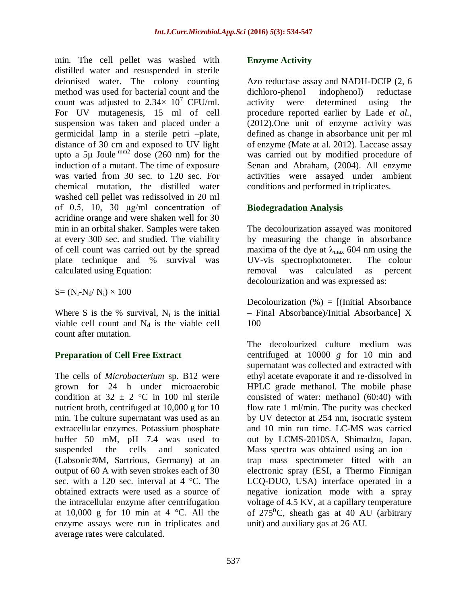min. The cell pellet was washed with distilled water and resuspended in sterile deionised water. The colony counting method was used for bacterial count and the count was adjusted to  $2.34 \times 10^7$  CFU/ml. For UV mutagenesis, 15 ml of cell suspension was taken and placed under a germicidal lamp in a sterile petri –plate, distance of 30 cm and exposed to UV light upto a 5µ Joule<sup>-mm2</sup> dose (260 nm) for the induction of a mutant. The time of exposure was varied from 30 sec. to 120 sec. For chemical mutation, the distilled water washed cell pellet was redissolved in 20 ml of 0.5, 10, 30 μg/ml concentration of acridine orange and were shaken well for 30 min in an orbital shaker. Samples were taken at every 300 sec. and studied. The viability of cell count was carried out by the spread plate technique and % survival was calculated using Equation:

 $S = (N_i-N_d/N_i) \times 100$ 

Where S is the % survival,  $N_i$  is the initial viable cell count and  $N_d$  is the viable cell count after mutation.

# **Preparation of Cell Free Extract**

The cells of *Microbacterium* sp. B12 were grown for 24 h under microaerobic condition at  $32 \pm 2$  °C in 100 ml sterile nutrient broth, centrifuged at 10,000 g for 10 min. The culture supernatant was used as an extracellular enzymes. Potassium phosphate buffer 50 mM, pH 7.4 was used to suspended the cells and sonicated (Labsonic®M, Sartrious, Germany) at an output of 60 A with seven strokes each of 30 sec. with a 120 sec. interval at  $4^{\circ}$ C. The obtained extracts were used as a source of the intracellular enzyme after centrifugation at  $10,000$  g for 10 min at 4 °C. All the enzyme assays were run in triplicates and average rates were calculated.

#### **Enzyme Activity**

Azo reductase assay and NADH-DCIP (2, 6 dichloro-phenol indophenol) reductase activity were determined using the procedure reported earlier by Lade *et al.,* (2012).One unit of enzyme activity was defined as change in absorbance unit per ml of enzyme (Mate at al. 2012). Laccase assay was carried out by modified procedure of Senan and Abraham, (2004). All enzyme activities were assayed under ambient conditions and performed in triplicates.

#### **Biodegradation Analysis**

The decolourization assayed was monitored by measuring the change in absorbance maxima of the dye at  $\lambda_{\text{max}}$  604 nm using the UV-vis spectrophotometer. The colour removal was calculated as percent decolourization and was expressed as:

Decolourization  $(\%) = [$ (Initial Absorbance – Final Absorbance)/Initial Absorbance] X 100

The decolourized culture medium was centrifuged at 10000 *g* for 10 min and supernatant was collected and extracted with ethyl acetate evaporate it and re-dissolved in HPLC grade methanol. The mobile phase consisted of water: methanol (60:40) with flow rate 1 ml/min. The purity was checked by UV detector at 254 nm, isocratic system and 10 min run time. LC-MS was carried out by LCMS-2010SA, Shimadzu, Japan. Mass spectra was obtained using an ion – trap mass spectrometer fitted with an electronic spray (ESI, a Thermo Finnigan LCQ-DUO, USA) interface operated in a negative ionization mode with a spray voltage of 4.5 KV, at a capillary temperature of  $275^{\circ}$ C, sheath gas at 40 AU (arbitrary unit) and auxiliary gas at 26 AU.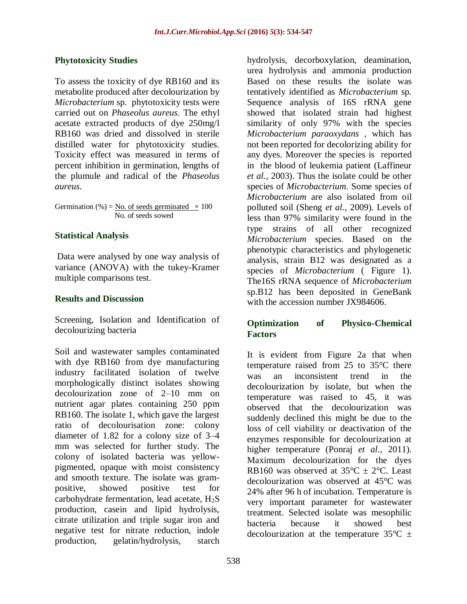## **Phytotoxicity Studies**

To assess the toxicity of dye RB160 and its metabolite produced after decolourization by *Microbacterium* sp. phytotoxicity tests were carried out on *Phaseolus aureus*. The ethyl acetate extracted products of dye 250mg/l RB160 was dried and dissolved in sterile distilled water for phytotoxicity studies. Toxicity effect was measured in terms of percent inhibition in germination, lengths of the plumule and radical of the *Phaseolus aureus*.

Germination (%) = No. of seeds germinated  $\times$  100 No. of seeds sowed

## **Statistical Analysis**

Data were analysed by one way analysis of variance (ANOVA) with the tukey-Kramer multiple comparisons test.

#### **Results and Discussion**

Screening, Isolation and Identification of decolourizing bacteria

Soil and wastewater samples contaminated with dye RB160 from dye manufacturing industry facilitated isolation of twelve morphologically distinct isolates showing decolourization zone of 2–10 mm on nutrient agar plates containing 250 ppm RB160. The isolate 1, which gave the largest ratio of decolourisation zone: colony diameter of 1.82 for a colony size of 3–4 mm was selected for further study. The colony of isolated bacteria was yellowpigmented, opaque with moist consistency and smooth texture. The isolate was grampositive, showed positive test for carbohydrate fermentation, lead acetate,  $H_2S$ production, casein and lipid hydrolysis, citrate utilization and triple sugar iron and negative test for nitrate reduction, indole production, gelatin/hydrolysis, starch

hydrolysis, decorboxylation, deamination, urea hydrolysis and ammonia production Based on these results the isolate was tentatively identified as *Microbacterium* sp*.* Sequence analysis of 16S rRNA gene showed that isolated strain had highest similarity of only 97% with the species *Microbacterium paraoxydans* , which has not been reported for decolorizing ability for any dyes. Moreover the species is reported in the blood of leukemia patient (Laffineur *et al.,* 2003). Thus the isolate could be other species of *Microbacterium.* Some species of *Microbacterium* are also isolated from oil polluted soil (Sheng *et al.,* 2009). Levels of less than 97% similarity were found in the type strains of all other recognized *Microbacterium* species. Based on the phenotypic characteristics and phylogenetic analysis, strain B12 was designated as a species of *Microbacterium* (Figure 1). The16S rRNA sequence of *Microbacterium* sp.B12 has been deposited in GeneBank with the accession number JX984606.

#### **Optimization of Physico-Chemical Factors**

It is evident from Figure 2a that when temperature raised from 25 to 35°C there was an inconsistent trend in the decolourization by isolate, but when the temperature was raised to 45, it was observed that the decolourization was suddenly declined this might be due to the loss of cell viability or deactivation of the enzymes responsible for decolourization at higher temperature (Ponraj *et al.,* 2011). Maximum decolourization for the dyes RB160 was observed at  $35^{\circ}C \pm 2^{\circ}C$ . Least decolourization was observed at 45°C was 24% after 96 h of incubation. Temperature is very important parameter for wastewater treatment. Selected isolate was mesophilic bacteria because it showed best decolourization at the temperature  $35^{\circ}$ C  $\pm$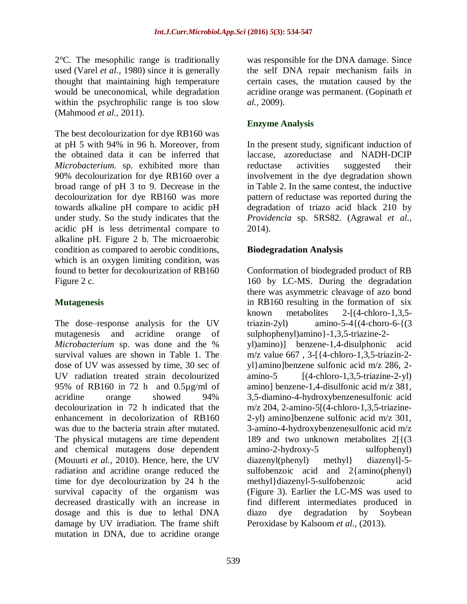2°C. The mesophilic range is traditionally used (Varel *et al.,* 1980) since it is generally thought that maintaining high temperature would be uneconomical, while degradation within the psychrophilic range is too slow (Mahmood *et al.,* 2011).

The best decolourization for dye RB160 was at pH 5 with 94% in 96 h. Moreover, from the obtained data it can be inferred that *Microbacterium.* sp. exhibited more than 90% decolourization for dye RB160 over a broad range of pH 3 to 9. Decrease in the decolourization for dye RB160 was more towards alkaline pH compare to acidic pH under study. So the study indicates that the acidic pH is less detrimental compare to alkaline pH. Figure 2 b. The microaerobic condition as compared to aerobic conditions, which is an oxygen limiting condition, was found to better for decolourization of RB160 Figure 2 c.

# **Mutagenesis**

The dose–response analysis for the UV mutagenesis and acridine orange of *Microbacterium* sp. was done and the % survival values are shown in Table 1. The dose of UV was assessed by time, 30 sec of UV radiation treated strain decolourized 95% of RB160 in 72 h and 0.5µg/ml of acridine orange showed 94% decolourization in 72 h indicated that the enhancement in decolorization of RB160 was due to the bacteria strain after mutated. The physical mutagens are time dependent and chemical mutagens dose dependent (Mouurti *et al.,* 2010). Hence, here, the UV radiation and acridine orange reduced the time for dye decolourization by 24 h the survival capacity of the organism was decreased drastically with an increase in dosage and this is due to lethal DNA damage by UV irradiation. The frame shift mutation in DNA, due to acridine orange

was responsible for the DNA damage. Since the self DNA repair mechanism fails in certain cases, the mutation caused by the acridine orange was permanent. (Gopinath *et al.,* 2009).

# **Enzyme Analysis**

In the present study, significant induction of laccase, azoreductase and NADH-DCIP reductase activities suggested their involvement in the dye degradation shown in Table 2. In the same contest, the inductive pattern of reductase was reported during the degradation of triazo acid black 210 by *Providencia* sp. SRS82. (Agrawal *et al.,* 2014).

# **Biodegradation Analysis**

Conformation of biodegraded product of RB 160 by LC-MS. During the degradation there was asymmetric cleavage of azo bond in RB160 resulting in the formation of six known metabolites 2-[(4-chloro-1,3,5 triazin-2yl) amino-5-4 ${(4-choro-6-}{(3)}$ sulphophenyl)amino}-1,3,5-triazine-2 yl)amino)] benzene-1,4-disulphonic acid m/z value 667 , 3-[{4-chloro-1,3,5-triazin-2 yl}amino]benzene sulfonic acid m/z 286, 2-  $\text{amino-5}$  [(4-chloro-1,3,5-triazine-2-yl) amino] benzene-1,4-disulfonic acid m/z 381, 3,5-diamino-4-hydroxybenzenesulfonic acid m/z 204, 2-amino-5[(4-chloro-1,3,5-triazine-2-yl) amino]benzene sulfonic acid m/z 301, 3-amino-4-hydroxybenzenesulfonic acid m/z 189 and two unknown metabolites 2[{(3 amino-2-hydroxy-5 sulfophenyl) diazenyl(phenyl) methyl} diazenyl]-5 sulfobenzoic acid and 2{amino(phenyl) methyl}diazenyl-5-sulfobenzoic acid (Figure 3). Earlier the LC-MS was used to find different intermediates produced in diazo dye degradation by Soybean Peroxidase by Kalsoom *et al.,* (2013).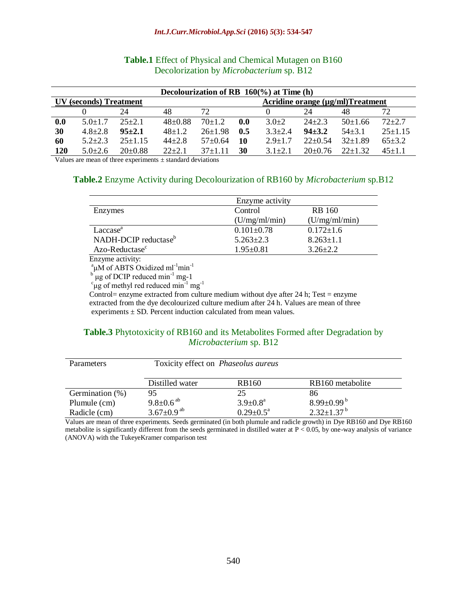#### *Int.J.Curr.Microbiol.App.Sci* **(2016)** *5***(3): 534-547**

| Decolourization of RB $160\%$ ) at Time (h) |                        |               |            |                                  |     |               |            |            |            |
|---------------------------------------------|------------------------|---------------|------------|----------------------------------|-----|---------------|------------|------------|------------|
|                                             | UV (seconds) Treatment |               |            | Acridine orange (µg/ml)Treatment |     |               |            |            |            |
|                                             |                        | 24            | 48         | 72                               |     |               | 24         | 48         |            |
| 0.0                                         | $5.0 + 1.7$            | $25+2.1$      | $48+0.88$  | $70+1.2$                         | 0.0 | $3.0+2$       | $24 + 2.3$ | $50+1.66$  | $72 + 2.7$ |
| 30                                          | $4.8 + 2.8$            | $95 + 2.1$    | $48+1.2$   | $26+1.98$                        | 0.5 | $3.3 \pm 2.4$ | $94 + 3.2$ | $54 + 3.1$ | $25+1.15$  |
| 60                                          | $5.2 + 2.3$            | $25+1$ 15     | $44 + 2.8$ | $57+0.64$                        | 10  | $2.9 + 1.7$   | $22+0.54$  | $32+1.89$  | $65+3.2$   |
| 120                                         | $50+26$                | $20 \pm 0.88$ | $22+2.1$   | $37+1$ 11                        | 30  | $31+21$       | $20+0.76$  | $22+132$   | $45+1.1$   |

#### **Table.1** Effect of Physical and Chemical Mutagen on B160 Decolorization by *Microbacterium* sp. B12

Values are mean of three experiments  $\pm$  standard deviations

#### **Table.2** Enzyme Activity during Decolourization of RB160 by *Microbacterium* sp.B12

|                                  | Enzyme activity  |                 |
|----------------------------------|------------------|-----------------|
| Enzymes                          | Control          | <b>RB</b> 160   |
|                                  | (U/mg/ml/min)    | (U/mg/ml/min)   |
| Laccase <sup>a</sup>             | $0.101 \pm 0.78$ | $0.172 \pm 1.6$ |
| NADH-DCIP reductase <sup>b</sup> | $5.263 \pm 2.3$  | $8.263 \pm 1.1$ |
| Azo-Reductase <sup>c</sup>       | $1.95 \pm 0.81$  | $3.26 \pm 2.2$  |

Enzyme activity:

 $\mu$ M of ABTS Oxidized ml<sup>-1</sup>min<sup>-1</sup>

<sup>b'</sup> µg of DCIP reduced min<sup>-1</sup> mg-1<br><sup>c</sup>µg of methyl red reduced min<sup>-1</sup> mg<sup>-1</sup>

Control= enzyme extracted from culture medium without dye after 24 h; Test = enzyme extracted from the dye decolourized culture medium after 24 h. Values are mean of three experiments  $\pm$  SD. Percent induction calculated from mean values.

#### **Table.3** Phytotoxicity of RB160 and its Metabolites Formed after Degradation by *Microbacterium* sp. B12

| Parameters      | Toxicity effect on <i>Phaseolus aureus</i> |                           |                              |  |  |
|-----------------|--------------------------------------------|---------------------------|------------------------------|--|--|
|                 | Distilled water                            | <b>RB160</b>              | RB160 metabolite             |  |  |
| Germination (%) | 95                                         | 25                        | 86                           |  |  |
| Plumule (cm)    | $9.8 \pm 0.6$ <sup>ab</sup>                | $3.9 \pm 0.8^{\text{a}}$  | $8.99 \pm 0.99^{\mathrm{b}}$ |  |  |
| Radicle (cm)    | $3.67 \pm 0.9$ <sup>ab</sup>               | $0.29 \pm 0.5^{\text{a}}$ | $2.32 \pm 1.37^{\mathrm{b}}$ |  |  |

Values are mean of three experiments. Seeds germinated (in both plumule and radicle growth) in Dye RB160 and Dye RB160 metabolite is significantly different from the seeds germinated in distilled water at  $P < 0.05$ , by one-way analysis of variance (ANOVA) with the TukeyeKramer comparison test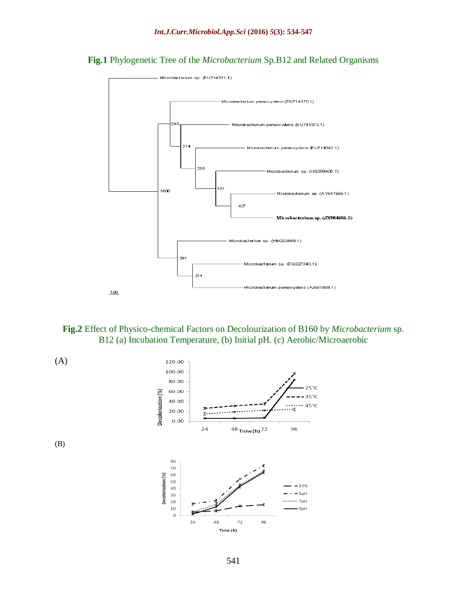**Fig.1** Phylogenetic Tree of the *Microbacterium* Sp.B12 and Related Organisms







(B)

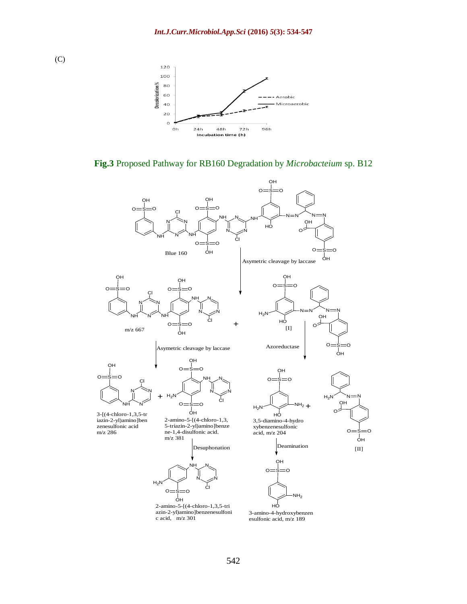

**Fig.3** Proposed Pathway for RB160 Degradation by *Microbacteium* sp. B12



(C)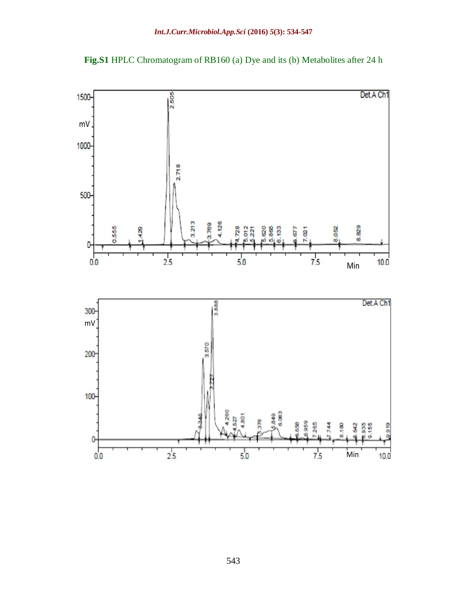

**Fig.S1** HPLC Chromatogram of RB160 (a) Dye and its (b) Metabolites after 24 h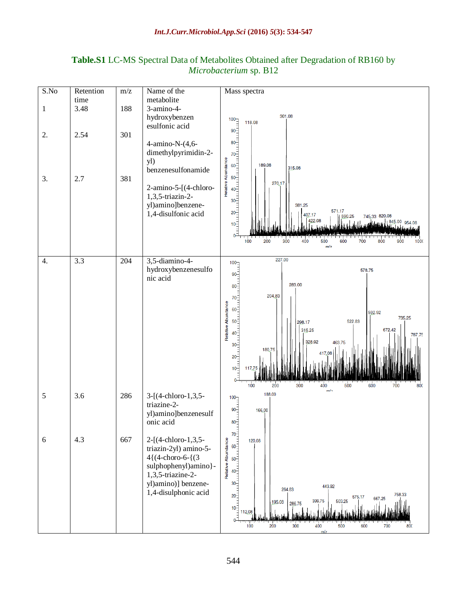# **Table.S1** LC-MS Spectral Data of Metabolites Obtained after Degradation of RB160 by *Microbacterium* sp. B12

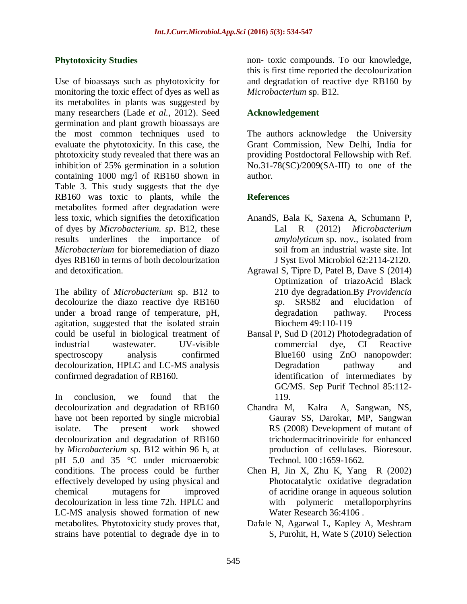## **Phytotoxicity Studies**

Use of bioassays such as phytotoxicity for monitoring the toxic effect of dyes as well as its metabolites in plants was suggested by many researchers (Lade *et al.,* 2012). Seed germination and plant growth bioassays are the most common techniques used to evaluate the phytotoxicity. In this case, the phtotoxicity study revealed that there was an inhibition of 25% germination in a solution containing 1000 mg/l of RB160 shown in Table 3. This study suggests that the dye RB160 was toxic to plants, while the metabolites formed after degradation were less toxic, which signifies the detoxification of dyes by *Microbacterium. sp*. B12, these results underlines the importance of *Microbacterium* for bioremediation of diazo dyes RB160 in terms of both decolourization and detoxification.

The ability of *Microbacterium* sp. B12 to decolourize the diazo reactive dye RB160 under a broad range of temperature, pH, agitation, suggested that the isolated strain could be useful in biological treatment of industrial wastewater. UV-visible spectroscopy analysis confirmed decolourization, HPLC and LC-MS analysis confirmed degradation of RB160.

In conclusion, we found that the decolourization and degradation of RB160 have not been reported by single microbial isolate. The present work showed decolourization and degradation of RB160 by *Microbacterium* sp. B12 within 96 h, at pH 5.0 and 35 °C under microaerobic conditions. The process could be further effectively developed by using physical and chemical mutagens for improved decolourization in less time 72h. HPLC and LC-MS analysis showed formation of new metabolites. Phytotoxicity study proves that, strains have potential to degrade dye in to

non- toxic compounds. To our knowledge, this is first time reported the decolourization and degradation of reactive dye RB160 by *Microbacterium* sp. B12.

## **Acknowledgement**

The authors acknowledge the University Grant Commission, New Delhi, India for providing Postdoctoral Fellowship with Ref. No.31-78(SC)/2009(SA-III) to one of the author.

## **References**

- [AnandS](http://ijs.sgmjournals.org/search?author1=Shailly+Anand&sortspec=date&submit=Submit), [Bala](http://ijs.sgmjournals.org/search?author1=Kiran+Bala&sortspec=date&submit=Submit) K, [Saxena](http://ijs.sgmjournals.org/search?author1=Anjali+Saxena&sortspec=date&submit=Submit) A, [Schumann](http://ijs.sgmjournals.org/search?author1=Peter+Schumann&sortspec=date&submit=Submit) P, [Lal](http://ijs.sgmjournals.org/search?author1=Rup+Lal&sortspec=date&submit=Submit) R (2012) *Microbacterium amylolyticum* sp. nov., isolated from soil from an industrial waste site. Int J Syst Evol Microbiol 62:2114-2120.
- Agrawal S, Tipre D, Patel B, Dave S (2014) Optimization of triazoAcid Black 210 dye degradation.By *Providencia sp*. SRS82 and elucidation of degradation pathway. Process Biochem 49:110-119
- Bansal P, Sud D (2012) Photodegradation of commercial dye, CI Reactive Blue160 using ZnO nanopowder: Degradation pathway and identification of intermediates by GC/MS. Sep Purif Technol 85:112- 119.
- Chandra M, Kalra A, Sangwan, NS, Gaurav SS, Darokar, MP, Sangwan RS (2008) Development of mutant of trichodermacitrinoviride for enhanced production of cellulases. Bioresour. Technol. 100 :1659-1662.
- Chen H, Jin X, Zhu K, Yang R  $(2002)$ Photocatalytic oxidative degradation of acridine orange in aqueous solution with polymeric metalloporphyrins Water Research 36:4106 .
- Dafale N, Agarwal L, Kapley A, Meshram S, Purohit, H, Wate S (2010) Selection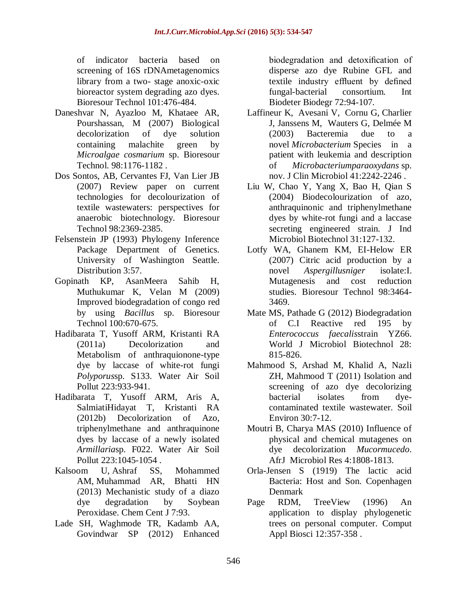of indicator bacteria based on screening of 16S rDNAmetagenomics library from a two- stage anoxic-oxic bioreactor system degrading azo dyes. Bioresour Technol 101:476-484.

- Daneshvar N, Ayazloo M, Khataee AR, Pourshassan, M (2007) Biological decolorization of dye solution containing malachite green by *Microalgae cosmarium* sp. Bioresour Technol. 98:1176-1182 .
- Dos Sontos, AB, Cervantes FJ, Van Lier JB (2007) Review paper on current technologies for decolourization of textile wastewaters: perspectives for anaerobic biotechnology. Bioresour Technol 98:2369-2385.
- Felsenstein JP (1993) Phylogeny Inference Package Department of Genetics. University of Washington Seattle. Distribution 3:57.
- Gopinath KP, AsanMeera Sahib H, Muthukumar K, Velan M (2009) Improved biodegradation of congo red by using *Bacillus* sp. Bioresour Technol 100:670-675.
- Hadibarata T, Yusoff ARM, Kristanti RA (2011a) Decolorization and Metabolism of anthraquionone-type dye by laccase of white-rot fungi *Polyporus*sp. S133. Water Air Soil Pollut 223:933-941.
- Hadibarata T, Yusoff ARM, Aris A, SalmiatiHidayat T, Kristanti RA (2012b) Decolorization of Azo, triphenylmethane and anthraquinone dyes by laccase of a newly isolated *Armillaria*sp. F022. Water Air Soil Pollut 223:1045-1054 .
- Kalsoom U, Ashraf SS, Mohammed AM, Muhammad AR, Bhatti HN (2013) Mechanistic study of a diazo dye degradation by Soybean Peroxidase. Chem Cent J 7:93.
- Lade SH, Waghmode TR, Kadamb AA, Govindwar SP (2012) Enhanced

biodegradation and detoxification of disperse azo dye Rubine GFL and textile industry effluent by defined fungal-bacterial consortium. Int Biodeter Biodegr 72:94-107.

- [Laffineur](http://jcm.asm.org/search?author1=Kim+Laffineur&sortspec=date&submit=Submit) K, [Avesani](http://jcm.asm.org/search?author1=V%C3%A9ronique+Avesani&sortspec=date&submit=Submit) V, [Cornu](http://jcm.asm.org/search?author1=Guy+Cornu&sortspec=date&submit=Submit) G, [Charlier](http://jcm.asm.org/search?author1=Jacqueline+Charlier&sortspec=date&submit=Submit) J, [Janssens](http://jcm.asm.org/search?author1=Mich%C3%A8le+Janssens&sortspec=date&submit=Submit) M, [Wauters](http://jcm.asm.org/search?author1=Georges+Wauters&sortspec=date&submit=Submit) G, [Delmée](http://jcm.asm.org/search?author1=Michel+Delm%C3%A9e&sortspec=date&submit=Submit) M (2003) Bacteremia due to a novel *Microbacterium* Species in a patient with leukemia and description of *Microbacteriumparaoxydans* sp. nov. J Clin Microbiol 41:2242-2246 .
- Liu W, Chao Y, Yang X, Bao H, Qian S (2004) Biodecolourization of azo, anthraquinonic and triphenylmethane dyes by white-rot fungi and a laccase secreting engineered strain. J Ind Microbiol Biotechnol 31:127-132.
- Lotfy WA, Ghanem KM, EI-Helow ER (2007) Citric acid production by a novel *Aspergillusniger* isolate:I. Mutagenesis and cost reduction studies. Bioresour Technol 98:3464- 3469.
- Mate MS, Pathade G (2012) Biodegradation of C.I Reactive red 195 by *Enterococcus faecalis*strain YZ66. World J Microbiol Biotechnol 28: 815-826.
- Mahmood S, Arshad M, Khalid A, Nazli ZH, Mahmood T (2011) Isolation and screening of azo dye decolorizing bacterial isolates from dyecontaminated textile wastewater. Soil Environ 30:7-12.
- Moutri B, Charya MAS (2010) Influence of physical and chemical mutagenes on dye decolorization *Mucormucedo*. AfrJ Microbiol Res 4:1808-1813.
- Orla-Jensen S (1919) The lactic acid Bacteria: Host and Son. Copenhagen Denmark
- Page RDM, TreeView (1996) An application to display phylogenetic trees on personal computer. Comput Appl Biosci 12:357-358 .